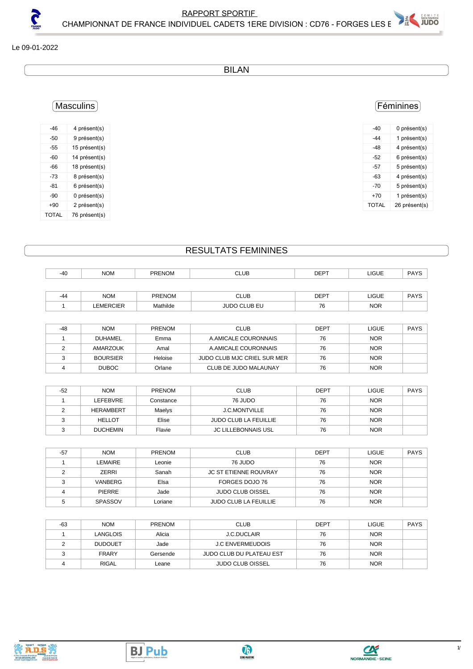### Le 09-01-2022

5

BILAN

### Féminines

| -40   | 0 présent(s)  |
|-------|---------------|
| -44   | 1 présent(s)  |
| -48   | 4 présent(s)  |
| -52   | 6 présent(s)  |
| -57   | 5 présent(s)  |
| -63   | 4 présent(s)  |
| -70   | 5 présent(s)  |
| $+70$ | 1 présent(s)  |
| TOTAL | 26 présent(s) |
|       |               |

## Masculins

| -46          | 4 présent(s)  |
|--------------|---------------|
| -50          | 9 présent(s)  |
| -55          | 15 présent(s) |
| -60          | 14 présent(s) |
| -66          | 18 présent(s) |
| -73          | 8 présent(s)  |
| -81          | 6 présent(s)  |
| -90          | 0 présent(s)  |
| +90          | 2 présent(s)  |
| <b>TOTAL</b> | 76 présent(s) |

## RESULTATS FEMININES

| $-40$ | <b>NOM</b>       | <b>PRENOM</b> | <b>CLUB</b>         | <b>DEPT</b> | LIGUE        | <b>PAYS</b> |
|-------|------------------|---------------|---------------------|-------------|--------------|-------------|
|       |                  |               |                     |             |              |             |
| -44   | <b>NOM</b>       | <b>PRENOM</b> | <b>CLUB</b>         | <b>DEPT</b> | <b>LIGUE</b> | <b>PAYS</b> |
|       | <b>LEMERCIER</b> | Mathilde      | <b>JUDO CLUB EU</b> | 76          | <b>NOR</b>   |             |

| -48 | <b>NOM</b>      | <b>PRENOM</b> | <b>CLUB</b>                 | <b>DEPT</b> | <b>LIGUE</b> | <b>PAYS</b> |
|-----|-----------------|---------------|-----------------------------|-------------|--------------|-------------|
|     | <b>DUHAMEL</b>  | Emma          | A AMICALE COURONNAIS        | 76          | <b>NOR</b>   |             |
|     | AMARZOUK        | Amal          | A AMICALE COURONNAIS        | 76          | <b>NOR</b>   |             |
|     | <b>BOURSIER</b> | Heloise       | JUDO CLUB MJC CRIEL SUR MER | 76          | <b>NOR</b>   |             |
|     | <b>DUBOC</b>    | Orlane        | CLUB DE JUDO MALAUNAY       | 76          | <b>NOR</b>   |             |

| $-52$ | <b>NOM</b>       | <b>PRENOM</b> | CLUB                         | <b>DEPT</b> | <b>LIGUE</b> | <b>PAYS</b> |
|-------|------------------|---------------|------------------------------|-------------|--------------|-------------|
|       | LEFEBVRE         | Constance     | 76 JUDO                      | 76          | <b>NOR</b>   |             |
|       | <b>HERAMBERT</b> | Maelys        | <b>J.C.MONTVILLE</b>         | 76          | <b>NOR</b>   |             |
|       | <b>HELLOT</b>    | Elise         | <b>JUDO CLUB LA FEUILLIE</b> | 76          | <b>NOR</b>   |             |
|       | <b>DUCHEMIN</b>  | Flavie        | <b>JC LILLEBONNAIS USL</b>   | 76          | <b>NOR</b>   |             |

| $-57$ | <b>NOM</b>     | <b>PRENOM</b> | <b>CLUB</b>                  | <b>DEPT</b> | LIGUE      | <b>PAYS</b> |
|-------|----------------|---------------|------------------------------|-------------|------------|-------------|
|       | LEMAIRE        | Leonie        | 76 JUDO                      | 76          | <b>NOR</b> |             |
|       | ZERRI          | Sanah         | <b>JC ST ETIENNE ROUVRAY</b> | 76          | <b>NOR</b> |             |
|       | VANBERG        | Elsa          | FORGES DOJO 76               | 76          | <b>NOR</b> |             |
|       | <b>PIERRE</b>  | Jade          | <b>JUDO CLUB OISSEL</b>      | 76          | <b>NOR</b> |             |
|       | <b>SPASSOV</b> | Loriane       | <b>JUDO CLUB LA FEUILLIE</b> | 76          | <b>NOR</b> |             |

| -63 | <b>NOM</b>     | <b>PRENOM</b> | <b>CLUB</b>                     | <b>DEPT</b> | LIGUE      | <b>PAYS</b> |
|-----|----------------|---------------|---------------------------------|-------------|------------|-------------|
|     | LANGLOIS       | Alicia        | <b>J.C.DUCLAIR</b>              | 76          | <b>NOR</b> |             |
|     | <b>DUDOUET</b> | Jade          | <b>J.C ENVERMEUDOIS</b>         | 76          | <b>NOR</b> |             |
|     | <b>FRARY</b>   | Gersende      | <b>JUDO CLUB DU PLATEAU EST</b> | 76          | <b>NOR</b> |             |
|     | <b>RIGAL</b>   | Leane         | <b>JUDO CLUB OISSEL</b>         | 76          | <b>NOR</b> |             |



**BJ Pub**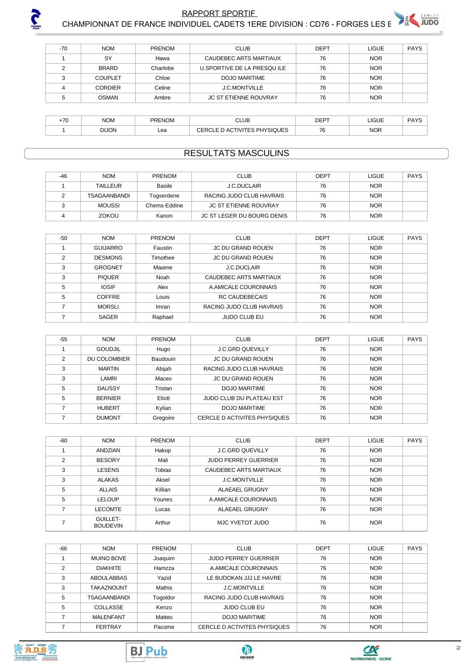

# **RAPPORT SPORTIF** CHAMPIONNAT DE FRANCE INDIVIDUEL CADETS 1ERE DIVISION : CD76 - FORGES LES E

| $-70$ | <b>NOM</b>     | <b>PRENOM</b> | <b>CLUB</b>                  | <b>DEPT</b> | <b>LIGUE</b> | <b>PAYS</b> |
|-------|----------------|---------------|------------------------------|-------------|--------------|-------------|
|       | SY             | Hawa          | CAUDEBEC ARTS MARTIAUX       | 76          | <b>NOR</b>   |             |
|       | <b>BRARD</b>   | Charlotte     | U.SPORTIVE DE LA PRESQUILE   | 76          | <b>NOR</b>   |             |
| ົ     | <b>COUPLET</b> | Chloe         | DOJO MARITIME                | 76          | <b>NOR</b>   |             |
|       | <b>CORDIER</b> | Celine        | J.C.MONTVILLE                | 76          | <b>NOR</b>   |             |
|       | <b>OSMAN</b>   | Ambre         | <b>JC ST ETIENNE ROUVRAY</b> | 76          | <b>NOR</b>   |             |
|       |                |               |                              |             |              |             |

| 70<br>г <sub>1 Ч</sub> | <b>NOM</b>   | <b>PRENOM</b> | CLUB                          | <b>DEPT</b>  | C <br>⊔טט  | DAVC |
|------------------------|--------------|---------------|-------------------------------|--------------|------------|------|
|                        | <b>DIJON</b> | Lea           | PHYSIQUES<br>11.717<br>`<br>Ē | 76<br>$\sim$ | <b>NOR</b> |      |

## **RESULTATS MASCULINS**

| $-46$ | <b>NOM</b>      | PRENOM       | <b>CLUB</b>                  | <b>DEPT</b> | LIGUE      | PAYS |
|-------|-----------------|--------------|------------------------------|-------------|------------|------|
|       | <b>TAILLEUR</b> | Basile       | <b>J.C.DUCLAIR</b>           | 76          | <b>NOR</b> |      |
|       | TSAGAANBANDI    | Togserdene   | RACING JUDO CLUB HAVRAIS     | 76          | <b>NOR</b> |      |
|       | <b>MOUSSI</b>   | Chems-Eddine | <b>JC ST ETIENNE ROUVRAY</b> | 76          | <b>NOR</b> |      |
|       | ZOKOU           | Kanon        | JC ST LEGER DU BOURG DENIS   | 76          | <b>NOR</b> |      |

| $-50$ | <b>NOM</b>      | <b>PRENOM</b> | <b>CLUB</b>              | <b>DEPT</b> | <b>LIGUE</b> | <b>PAYS</b> |
|-------|-----------------|---------------|--------------------------|-------------|--------------|-------------|
|       | <b>GUIJARRO</b> | Faustin       | <b>JC DU GRAND ROUEN</b> | 76          | <b>NOR</b>   |             |
| ◠     | <b>DESMONS</b>  | Timothee      | <b>JC DU GRAND ROUEN</b> | 76          | <b>NOR</b>   |             |
| 3     | <b>GROGNET</b>  | Maxime        | <b>J.C.DUCLAIR</b>       | 76          | <b>NOR</b>   |             |
| 3     | <b>PIQUER</b>   | Noah          | CAUDEBEC ARTS MARTIAUX   | 76          | <b>NOR</b>   |             |
| 5     | <b>IOSIF</b>    | Alex          | A AMICALE COURONNAIS     | 76          | <b>NOR</b>   |             |
| 5     | <b>COFFRE</b>   | Louis         | RC CAUDEBECAIS           | 76          | <b>NOR</b>   |             |
|       | <b>MORSLI</b>   | Imran         | RACING JUDO CLUB HAVRAIS | 76          | <b>NOR</b>   |             |
|       | <b>SAGER</b>    | Raphael       | <b>JUDO CLUB EU</b>      | 76          | <b>NOR</b>   |             |

| $-55$ | <b>NOM</b>     | <b>PRENOM</b>   | <b>CLUB</b>                  | <b>DEPT</b> | <b>LIGUE</b> | <b>PAYS</b> |
|-------|----------------|-----------------|------------------------------|-------------|--------------|-------------|
|       | <b>GOUDJIL</b> | Hugo            | <b>J.C.GRD QUEVILLY</b>      | 76          | <b>NOR</b>   |             |
| っ     | DU COLOMBIER   | <b>Baudouin</b> | JC DU GRAND ROUEN            | 76          | <b>NOR</b>   |             |
| 3     | <b>MARTIN</b>  | Abijah          | RACING JUDO CLUB HAVRAIS     | 76          | <b>NOR</b>   |             |
| 3     | LAMRI          | Maceo           | <b>JC DU GRAND ROUEN</b>     | 76          | <b>NOR</b>   |             |
| 5     | <b>DAUSSY</b>  | Tristan         | DOJO MARITIME                | 76          | <b>NOR</b>   |             |
| 5     | <b>BERNIER</b> | Eliott          | JUDO CLUB DU PLATEAU EST     | 76          | <b>NOR</b>   |             |
|       | <b>HUBERT</b>  | Kylian          | <b>DOJO MARITIME</b>         | 76          | <b>NOR</b>   |             |
|       | <b>DUMONT</b>  | Gregoire        | CERCLE D ACTIVITES PHYSIQUES | 76          | <b>NOR</b>   |             |

| $-60$ | <b>NOM</b>                         | <b>PRENOM</b> | <b>CLUB</b>                 | <b>DEPT</b> | LIGUE      | <b>PAYS</b> |
|-------|------------------------------------|---------------|-----------------------------|-------------|------------|-------------|
|       | ANDZIAN                            | Hakop         | <b>J.C.GRD QUEVILLY</b>     | 76          | <b>NOR</b> |             |
| 2     | <b>BESORY</b>                      | Mali          | <b>JUDO PERREY GUERRIER</b> | 76          | <b>NOR</b> |             |
| 3     | LESENS                             | <b>Tobias</b> | CAUDEBEC ARTS MARTIAUX      | 76          | <b>NOR</b> |             |
| 3     | <b>ALAKAS</b>                      | Aksel         | J.C.MONTVILLE               | 76          | <b>NOR</b> |             |
| 5     | <b>ALLAIS</b>                      | Killian       | <b>ALAEAEL GRUGNY</b>       | 76          | <b>NOR</b> |             |
| 5     | <b>LELOUP</b>                      | Younes        | A AMICALE COURONNAIS        | 76          | <b>NOR</b> |             |
|       | <b>LECOMTE</b>                     | Lucas         | <b>ALAEAEL GRUGNY</b>       | 76          | <b>NOR</b> |             |
|       | <b>GUILLET-</b><br><b>BOUDEVIN</b> | Arthur        | MJC YVETOT JUDO             | 76          | <b>NOR</b> |             |

| -66 | <b>NOM</b>        | <b>PRENOM</b> | <b>CLUB</b>                  | <b>DEPT</b> | LIGUE      | <b>PAYS</b> |
|-----|-------------------|---------------|------------------------------|-------------|------------|-------------|
|     | <b>MUINO BOVE</b> | Joaquim       | <b>JUDO PERREY GUERRIER</b>  | 76          | <b>NOR</b> |             |
| 2   | <b>DIAKHITE</b>   | Hamzza        | A.AMICALE COURONNAIS         | 76          | <b>NOR</b> |             |
| 3   | <b>ABOULABBAS</b> | Yazid         | LE BUDOKAN JJJ LE HAVRE      | 76          | <b>NOR</b> |             |
| 3   | <b>TAKAZNOUNT</b> | Mathis        | <b>J.C.MONTVILLE</b>         | 76          | <b>NOR</b> |             |
| 5   | TSAGAANBANDI      | Togoldor      | RACING JUDO CLUB HAVRAIS     | 76          | <b>NOR</b> |             |
| 5   | COLLASSE          | Kenzo         | <b>JUDO CLUB EU</b>          | 76          | <b>NOR</b> |             |
|     | MALENFANT         | Matteo        | DOJO MARITIME                | 76          | <b>NOR</b> |             |
|     | <b>FERTRAY</b>    | Pacome        | CERCLE D ACTIVITES PHYSIQUES | 76          | <b>NOR</b> |             |